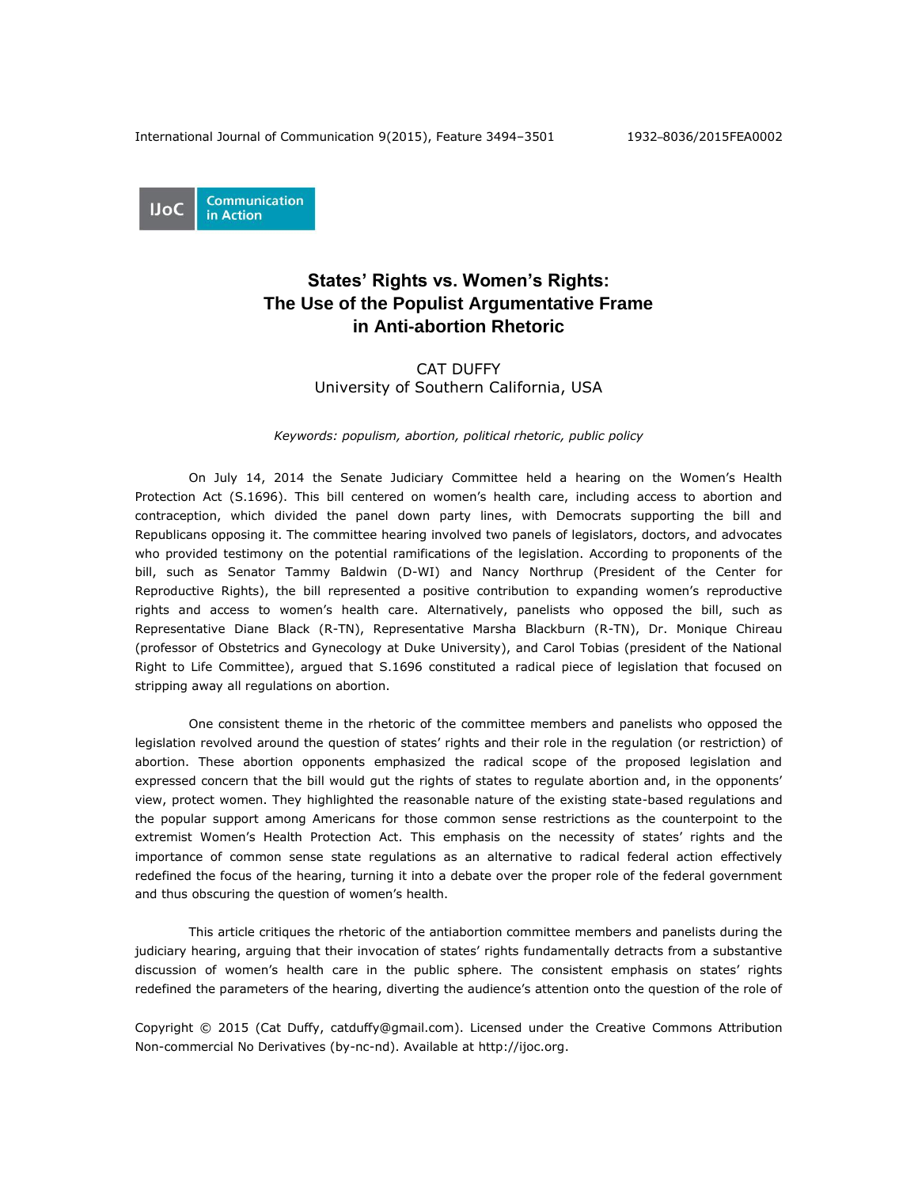

# **States' Rights vs. Women's Rights: The Use of the Populist Argumentative Frame in Anti-abortion Rhetoric**

## CAT DUFFY University of Southern California, USA

#### *Keywords: populism, abortion, political rhetoric, public policy*

On July 14, 2014 the Senate Judiciary Committee held a hearing on the Women's Health Protection Act (S.1696). This bill centered on women's health care, including access to abortion and contraception, which divided the panel down party lines, with Democrats supporting the bill and Republicans opposing it. The committee hearing involved two panels of legislators, doctors, and advocates who provided testimony on the potential ramifications of the legislation. According to proponents of the bill, such as Senator Tammy Baldwin (D-WI) and Nancy Northrup (President of the Center for Reproductive Rights), the bill represented a positive contribution to expanding women's reproductive rights and access to women's health care. Alternatively, panelists who opposed the bill, such as Representative Diane Black (R-TN), Representative Marsha Blackburn (R-TN), Dr. Monique Chireau (professor of Obstetrics and Gynecology at Duke University), and Carol Tobias (president of the National Right to Life Committee), argued that S.1696 constituted a radical piece of legislation that focused on stripping away all regulations on abortion.

One consistent theme in the rhetoric of the committee members and panelists who opposed the legislation revolved around the question of states' rights and their role in the regulation (or restriction) of abortion. These abortion opponents emphasized the radical scope of the proposed legislation and expressed concern that the bill would gut the rights of states to regulate abortion and, in the opponents' view, protect women. They highlighted the reasonable nature of the existing state-based regulations and the popular support among Americans for those common sense restrictions as the counterpoint to the extremist Women's Health Protection Act. This emphasis on the necessity of states' rights and the importance of common sense state regulations as an alternative to radical federal action effectively redefined the focus of the hearing, turning it into a debate over the proper role of the federal government and thus obscuring the question of women's health.

This article critiques the rhetoric of the antiabortion committee members and panelists during the judiciary hearing, arguing that their invocation of states' rights fundamentally detracts from a substantive discussion of women's health care in the public sphere. The consistent emphasis on states' rights redefined the parameters of the hearing, diverting the audience's attention onto the question of the role of

Copyright © 2015 (Cat Duffy, [catduffy@gmail.com\)](mailto:catduffy@gmail.com). Licensed under the Creative Commons Attribution Non-commercial No Derivatives (by-nc-nd). Available at [http://ijoc.org.](http://ijoc.org/)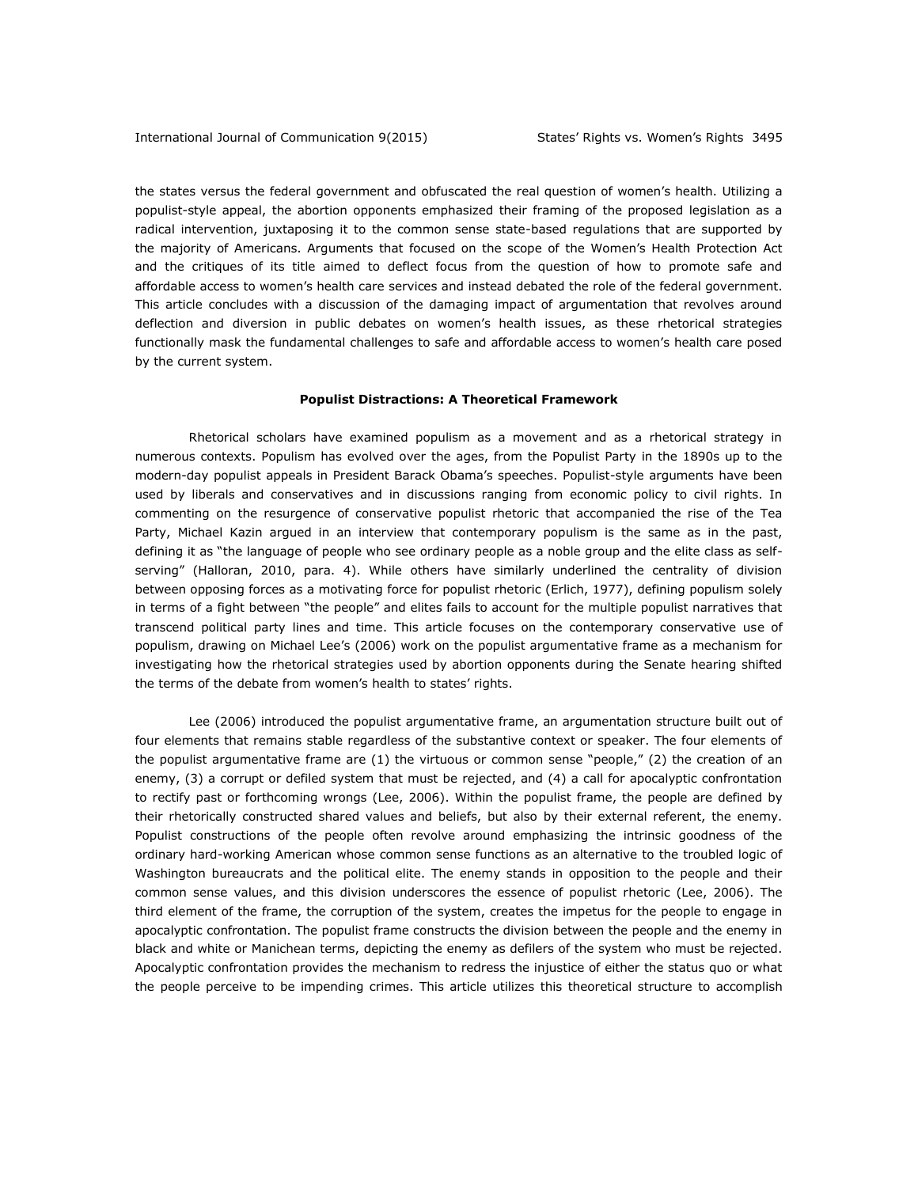the states versus the federal government and obfuscated the real question of women's health. Utilizing a populist-style appeal, the abortion opponents emphasized their framing of the proposed legislation as a radical intervention, juxtaposing it to the common sense state-based regulations that are supported by the majority of Americans. Arguments that focused on the scope of the Women's Health Protection Act and the critiques of its title aimed to deflect focus from the question of how to promote safe and affordable access to women's health care services and instead debated the role of the federal government. This article concludes with a discussion of the damaging impact of argumentation that revolves around deflection and diversion in public debates on women's health issues, as these rhetorical strategies functionally mask the fundamental challenges to safe and affordable access to women's health care posed by the current system.

#### **Populist Distractions: A Theoretical Framework**

Rhetorical scholars have examined populism as a movement and as a rhetorical strategy in numerous contexts. Populism has evolved over the ages, from the Populist Party in the 1890s up to the modern-day populist appeals in President Barack Obama's speeches. Populist-style arguments have been used by liberals and conservatives and in discussions ranging from economic policy to civil rights. In commenting on the resurgence of conservative populist rhetoric that accompanied the rise of the Tea Party, Michael Kazin argued in an interview that contemporary populism is the same as in the past, defining it as "the language of people who see ordinary people as a noble group and the elite class as selfserving" (Halloran, 2010, para. 4). While others have similarly underlined the centrality of division between opposing forces as a motivating force for populist rhetoric (Erlich, 1977), defining populism solely in terms of a fight between "the people" and elites fails to account for the multiple populist narratives that transcend political party lines and time. This article focuses on the contemporary conservative use of populism, drawing on Michael Lee's (2006) work on the populist argumentative frame as a mechanism for investigating how the rhetorical strategies used by abortion opponents during the Senate hearing shifted the terms of the debate from women's health to states' rights.

Lee (2006) introduced the populist argumentative frame, an argumentation structure built out of four elements that remains stable regardless of the substantive context or speaker. The four elements of the populist argumentative frame are (1) the virtuous or common sense "people," (2) the creation of an enemy, (3) a corrupt or defiled system that must be rejected, and (4) a call for apocalyptic confrontation to rectify past or forthcoming wrongs (Lee, 2006). Within the populist frame, the people are defined by their rhetorically constructed shared values and beliefs, but also by their external referent, the enemy. Populist constructions of the people often revolve around emphasizing the intrinsic goodness of the ordinary hard-working American whose common sense functions as an alternative to the troubled logic of Washington bureaucrats and the political elite. The enemy stands in opposition to the people and their common sense values, and this division underscores the essence of populist rhetoric (Lee, 2006). The third element of the frame, the corruption of the system, creates the impetus for the people to engage in apocalyptic confrontation. The populist frame constructs the division between the people and the enemy in black and white or Manichean terms, depicting the enemy as defilers of the system who must be rejected. Apocalyptic confrontation provides the mechanism to redress the injustice of either the status quo or what the people perceive to be impending crimes. This article utilizes this theoretical structure to accomplish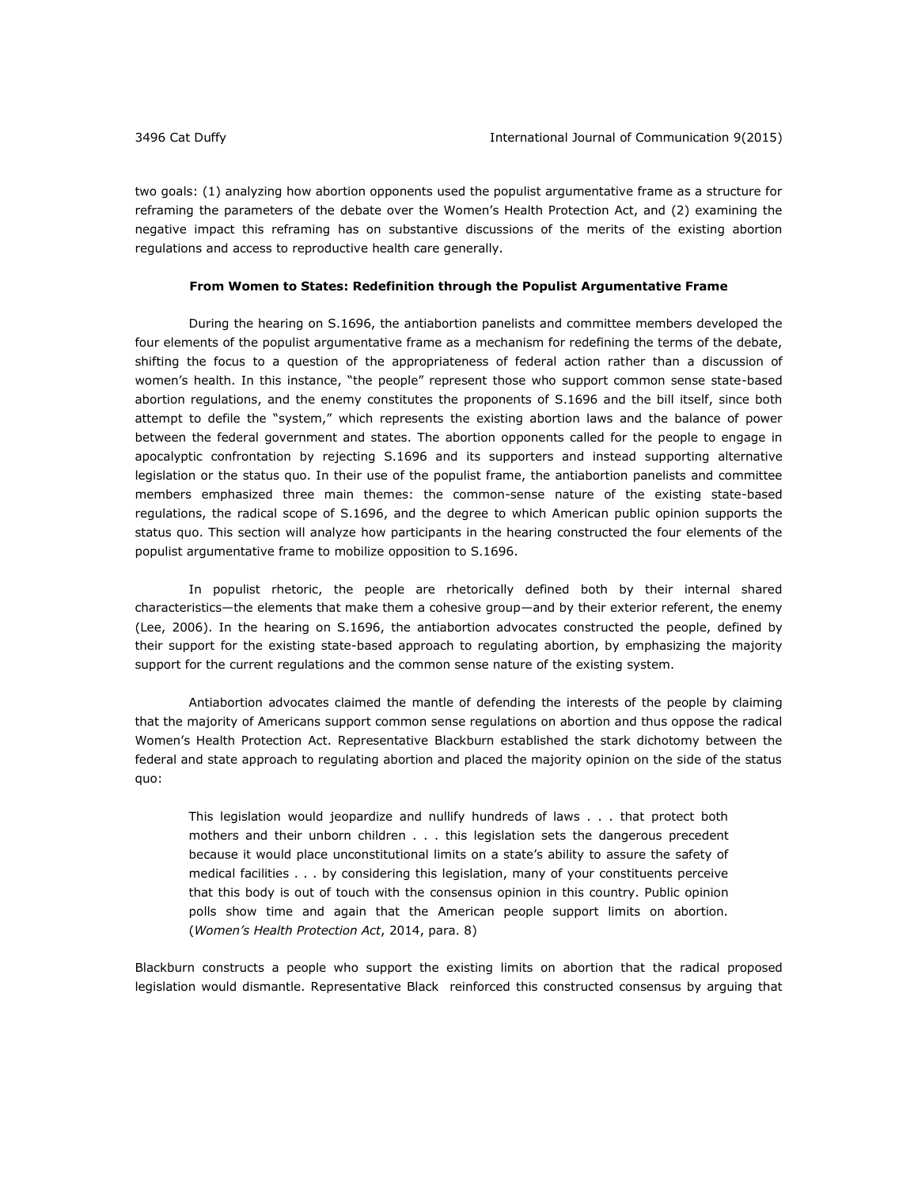two goals: (1) analyzing how abortion opponents used the populist argumentative frame as a structure for reframing the parameters of the debate over the Women's Health Protection Act, and (2) examining the negative impact this reframing has on substantive discussions of the merits of the existing abortion regulations and access to reproductive health care generally.

#### **From Women to States: Redefinition through the Populist Argumentative Frame**

During the hearing on S.1696, the antiabortion panelists and committee members developed the four elements of the populist argumentative frame as a mechanism for redefining the terms of the debate, shifting the focus to a question of the appropriateness of federal action rather than a discussion of women's health. In this instance, "the people" represent those who support common sense state-based abortion regulations, and the enemy constitutes the proponents of S.1696 and the bill itself, since both attempt to defile the "system," which represents the existing abortion laws and the balance of power between the federal government and states. The abortion opponents called for the people to engage in apocalyptic confrontation by rejecting S.1696 and its supporters and instead supporting alternative legislation or the status quo. In their use of the populist frame, the antiabortion panelists and committee members emphasized three main themes: the common-sense nature of the existing state-based regulations, the radical scope of S.1696, and the degree to which American public opinion supports the status quo. This section will analyze how participants in the hearing constructed the four elements of the populist argumentative frame to mobilize opposition to S.1696.

In populist rhetoric, the people are rhetorically defined both by their internal shared characteristics—the elements that make them a cohesive group—and by their exterior referent, the enemy (Lee, 2006). In the hearing on S.1696, the antiabortion advocates constructed the people, defined by their support for the existing state-based approach to regulating abortion, by emphasizing the majority support for the current regulations and the common sense nature of the existing system.

Antiabortion advocates claimed the mantle of defending the interests of the people by claiming that the majority of Americans support common sense regulations on abortion and thus oppose the radical Women's Health Protection Act. Representative Blackburn established the stark dichotomy between the federal and state approach to regulating abortion and placed the majority opinion on the side of the status quo:

This legislation would jeopardize and nullify hundreds of laws . . . that protect both mothers and their unborn children . . . this legislation sets the dangerous precedent because it would place unconstitutional limits on a state's ability to assure the safety of medical facilities . . . by considering this legislation, many of your constituents perceive that this body is out of touch with the consensus opinion in this country. Public opinion polls show time and again that the American people support limits on abortion. (*Women's Health Protection Act*, 2014, para. 8)

Blackburn constructs a people who support the existing limits on abortion that the radical proposed legislation would dismantle. Representative Black reinforced this constructed consensus by arguing that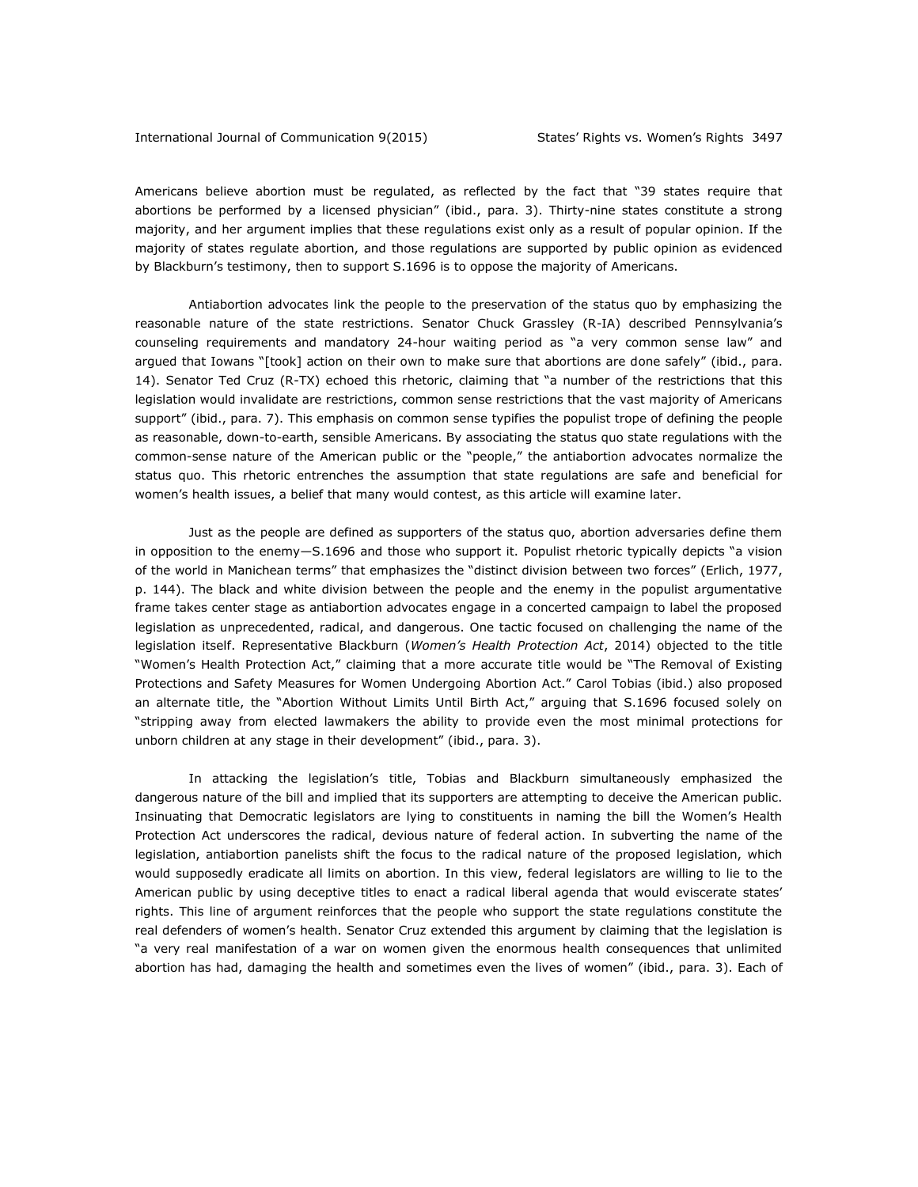#### International Journal of Communication 9(2015) States' Rights vs. Women's Rights 3497

Americans believe abortion must be regulated, as reflected by the fact that "39 states require that abortions be performed by a licensed physician" (ibid., para. 3). Thirty-nine states constitute a strong majority, and her argument implies that these regulations exist only as a result of popular opinion. If the majority of states regulate abortion, and those regulations are supported by public opinion as evidenced by Blackburn's testimony, then to support S.1696 is to oppose the majority of Americans.

Antiabortion advocates link the people to the preservation of the status quo by emphasizing the reasonable nature of the state restrictions. Senator Chuck Grassley (R-IA) described Pennsylvania's counseling requirements and mandatory 24-hour waiting period as "a very common sense law" and argued that Iowans "[took] action on their own to make sure that abortions are done safely" (ibid., para. 14). Senator Ted Cruz (R-TX) echoed this rhetoric, claiming that "a number of the restrictions that this legislation would invalidate are restrictions, common sense restrictions that the vast majority of Americans support" (ibid., para. 7). This emphasis on common sense typifies the populist trope of defining the people as reasonable, down-to-earth, sensible Americans. By associating the status quo state regulations with the common-sense nature of the American public or the "people," the antiabortion advocates normalize the status quo. This rhetoric entrenches the assumption that state regulations are safe and beneficial for women's health issues, a belief that many would contest, as this article will examine later.

Just as the people are defined as supporters of the status quo, abortion adversaries define them in opposition to the enemy—S.1696 and those who support it. Populist rhetoric typically depicts "a vision of the world in Manichean terms" that emphasizes the "distinct division between two forces" (Erlich, 1977, p. 144). The black and white division between the people and the enemy in the populist argumentative frame takes center stage as antiabortion advocates engage in a concerted campaign to label the proposed legislation as unprecedented, radical, and dangerous. One tactic focused on challenging the name of the legislation itself. Representative Blackburn (*Women's Health Protection Act*, 2014) objected to the title "Women's Health Protection Act," claiming that a more accurate title would be "The Removal of Existing Protections and Safety Measures for Women Undergoing Abortion Act." Carol Tobias (ibid.) also proposed an alternate title, the "Abortion Without Limits Until Birth Act," arguing that S.1696 focused solely on "stripping away from elected lawmakers the ability to provide even the most minimal protections for unborn children at any stage in their development" (ibid., para. 3).

In attacking the legislation's title, Tobias and Blackburn simultaneously emphasized the dangerous nature of the bill and implied that its supporters are attempting to deceive the American public. Insinuating that Democratic legislators are lying to constituents in naming the bill the Women's Health Protection Act underscores the radical, devious nature of federal action. In subverting the name of the legislation, antiabortion panelists shift the focus to the radical nature of the proposed legislation, which would supposedly eradicate all limits on abortion. In this view, federal legislators are willing to lie to the American public by using deceptive titles to enact a radical liberal agenda that would eviscerate states' rights. This line of argument reinforces that the people who support the state regulations constitute the real defenders of women's health. Senator Cruz extended this argument by claiming that the legislation is "a very real manifestation of a war on women given the enormous health consequences that unlimited abortion has had, damaging the health and sometimes even the lives of women" (ibid., para. 3). Each of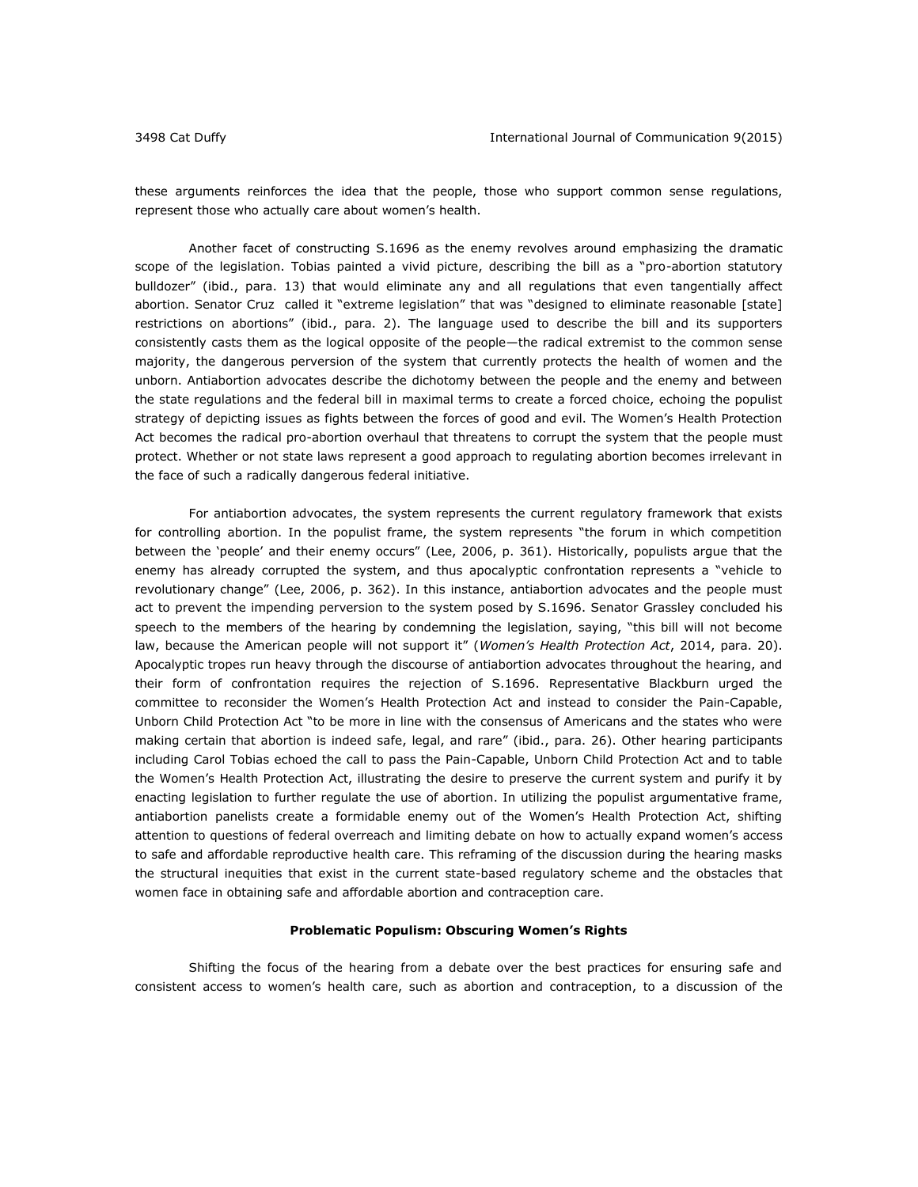these arguments reinforces the idea that the people, those who support common sense regulations, represent those who actually care about women's health.

Another facet of constructing S.1696 as the enemy revolves around emphasizing the dramatic scope of the legislation. Tobias painted a vivid picture, describing the bill as a "pro-abortion statutory bulldozer" (ibid., para. 13) that would eliminate any and all regulations that even tangentially affect abortion. Senator Cruz called it "extreme legislation" that was "designed to eliminate reasonable [state] restrictions on abortions" (ibid., para. 2). The language used to describe the bill and its supporters consistently casts them as the logical opposite of the people—the radical extremist to the common sense majority, the dangerous perversion of the system that currently protects the health of women and the unborn. Antiabortion advocates describe the dichotomy between the people and the enemy and between the state regulations and the federal bill in maximal terms to create a forced choice, echoing the populist strategy of depicting issues as fights between the forces of good and evil. The Women's Health Protection Act becomes the radical pro-abortion overhaul that threatens to corrupt the system that the people must protect. Whether or not state laws represent a good approach to regulating abortion becomes irrelevant in the face of such a radically dangerous federal initiative.

For antiabortion advocates, the system represents the current regulatory framework that exists for controlling abortion. In the populist frame, the system represents "the forum in which competition between the 'people' and their enemy occurs" (Lee, 2006, p. 361). Historically, populists argue that the enemy has already corrupted the system, and thus apocalyptic confrontation represents a "vehicle to revolutionary change" (Lee, 2006, p. 362). In this instance, antiabortion advocates and the people must act to prevent the impending perversion to the system posed by S.1696. Senator Grassley concluded his speech to the members of the hearing by condemning the legislation, saying, "this bill will not become law, because the American people will not support it" (*Women's Health Protection Act*, 2014, para. 20). Apocalyptic tropes run heavy through the discourse of antiabortion advocates throughout the hearing, and their form of confrontation requires the rejection of S.1696. Representative Blackburn urged the committee to reconsider the Women's Health Protection Act and instead to consider the Pain-Capable, Unborn Child Protection Act "to be more in line with the consensus of Americans and the states who were making certain that abortion is indeed safe, legal, and rare" (ibid., para. 26). Other hearing participants including Carol Tobias echoed the call to pass the Pain-Capable, Unborn Child Protection Act and to table the Women's Health Protection Act, illustrating the desire to preserve the current system and purify it by enacting legislation to further regulate the use of abortion. In utilizing the populist argumentative frame, antiabortion panelists create a formidable enemy out of the Women's Health Protection Act, shifting attention to questions of federal overreach and limiting debate on how to actually expand women's access to safe and affordable reproductive health care. This reframing of the discussion during the hearing masks the structural inequities that exist in the current state-based regulatory scheme and the obstacles that women face in obtaining safe and affordable abortion and contraception care.

#### **Problematic Populism: Obscuring Women's Rights**

Shifting the focus of the hearing from a debate over the best practices for ensuring safe and consistent access to women's health care, such as abortion and contraception, to a discussion of the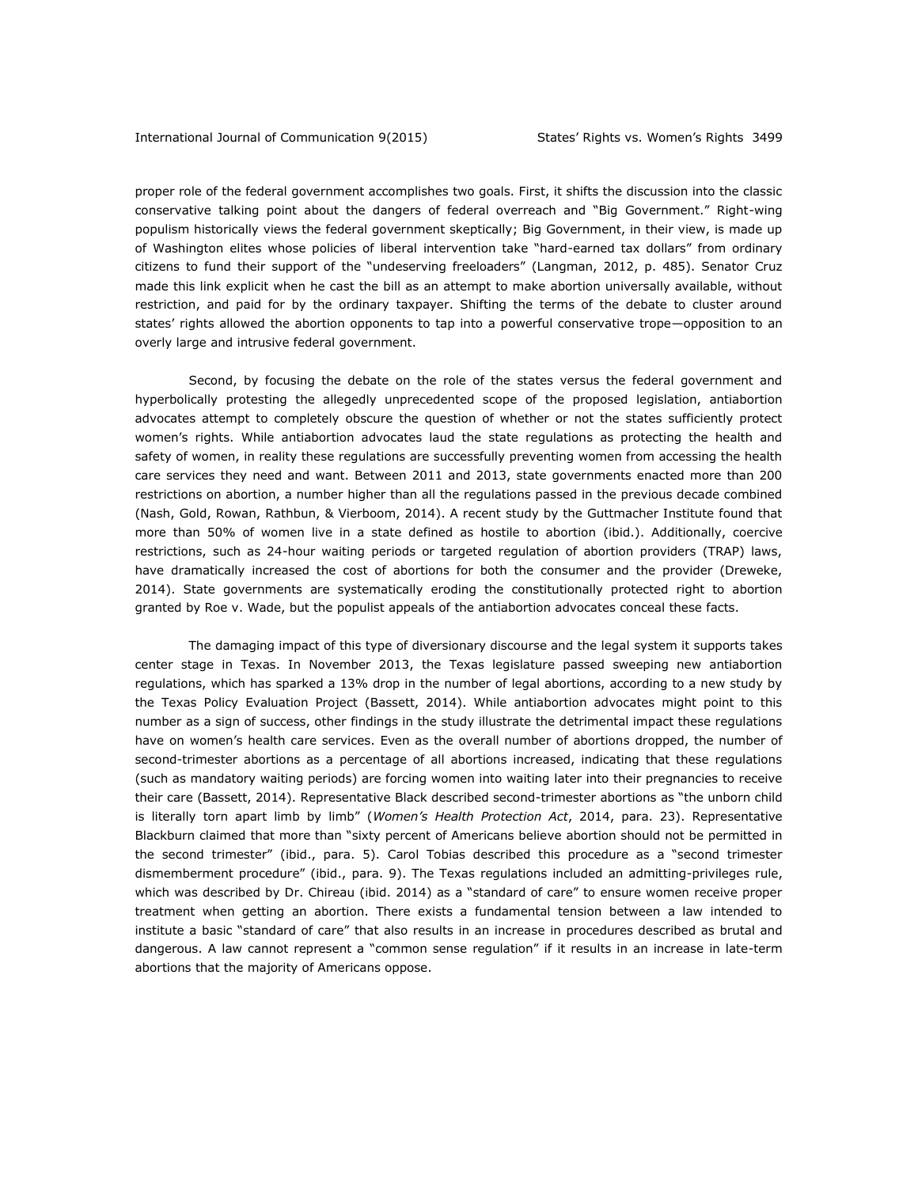proper role of the federal government accomplishes two goals. First, it shifts the discussion into the classic conservative talking point about the dangers of federal overreach and "Big Government." Right-wing populism historically views the federal government skeptically; Big Government, in their view, is made up of Washington elites whose policies of liberal intervention take "hard-earned tax dollars" from ordinary citizens to fund their support of the "undeserving freeloaders" (Langman, 2012, p. 485). Senator Cruz made this link explicit when he cast the bill as an attempt to make abortion universally available, without restriction, and paid for by the ordinary taxpayer. Shifting the terms of the debate to cluster around states' rights allowed the abortion opponents to tap into a powerful conservative trope—opposition to an overly large and intrusive federal government.

Second, by focusing the debate on the role of the states versus the federal government and hyperbolically protesting the allegedly unprecedented scope of the proposed legislation, antiabortion advocates attempt to completely obscure the question of whether or not the states sufficiently protect women's rights. While antiabortion advocates laud the state regulations as protecting the health and safety of women, in reality these regulations are successfully preventing women from accessing the health care services they need and want. Between 2011 and 2013, state governments enacted more than 200 restrictions on abortion, a number higher than all the regulations passed in the previous decade combined (Nash, Gold, Rowan, Rathbun, & Vierboom, 2014). A recent study by the Guttmacher Institute found that more than 50% of women live in a state defined as hostile to abortion (ibid.). Additionally, coercive restrictions, such as 24-hour waiting periods or targeted regulation of abortion providers (TRAP) laws, have dramatically increased the cost of abortions for both the consumer and the provider (Dreweke, 2014). State governments are systematically eroding the constitutionally protected right to abortion granted by Roe v. Wade, but the populist appeals of the antiabortion advocates conceal these facts.

The damaging impact of this type of diversionary discourse and the legal system it supports takes center stage in Texas. In November 2013, the Texas legislature passed sweeping new antiabortion regulations, which has sparked a 13% drop in the number of legal abortions, according to a new study by the Texas Policy Evaluation Project (Bassett, 2014). While antiabortion advocates might point to this number as a sign of success, other findings in the study illustrate the detrimental impact these regulations have on women's health care services. Even as the overall number of abortions dropped, the number of second-trimester abortions as a percentage of all abortions increased, indicating that these regulations (such as mandatory waiting periods) are forcing women into waiting later into their pregnancies to receive their care (Bassett, 2014). Representative Black described second-trimester abortions as "the unborn child is literally torn apart limb by limb" (*Women's Health Protection Act*, 2014, para. 23). Representative Blackburn claimed that more than "sixty percent of Americans believe abortion should not be permitted in the second trimester" (ibid., para. 5). Carol Tobias described this procedure as a "second trimester dismemberment procedure" (ibid., para. 9). The Texas regulations included an admitting-privileges rule, which was described by Dr. Chireau (ibid. 2014) as a "standard of care" to ensure women receive proper treatment when getting an abortion. There exists a fundamental tension between a law intended to institute a basic "standard of care" that also results in an increase in procedures described as brutal and dangerous. A law cannot represent a "common sense regulation" if it results in an increase in late-term abortions that the majority of Americans oppose.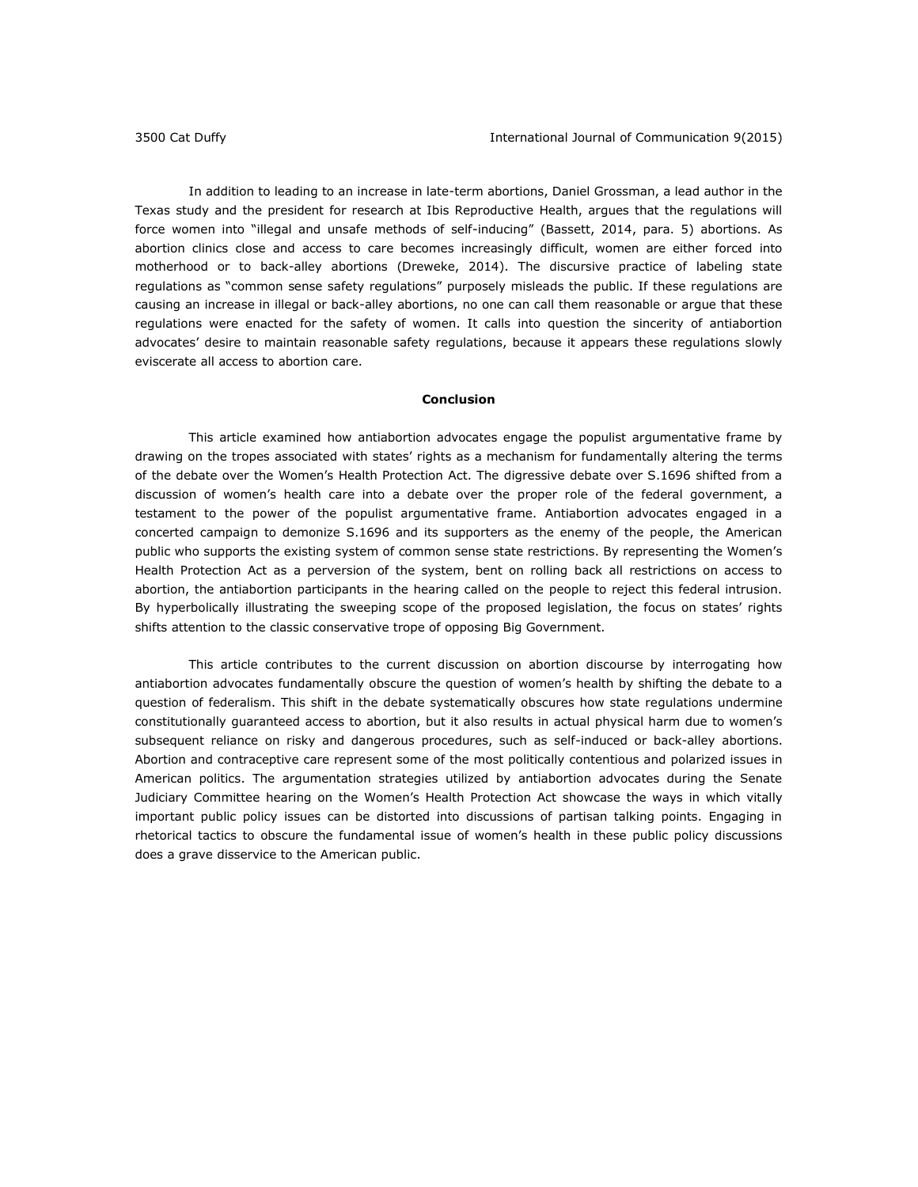In addition to leading to an increase in late-term abortions, Daniel Grossman, a lead author in the Texas study and the president for research at Ibis Reproductive Health, argues that the regulations will force women into "illegal and unsafe methods of self-inducing" (Bassett, 2014, para. 5) abortions. As abortion clinics close and access to care becomes increasingly difficult, women are either forced into motherhood or to back-alley abortions (Dreweke, 2014). The discursive practice of labeling state regulations as "common sense safety regulations" purposely misleads the public. If these regulations are causing an increase in illegal or back-alley abortions, no one can call them reasonable or argue that these regulations were enacted for the safety of women. It calls into question the sincerity of antiabortion advocates' desire to maintain reasonable safety regulations, because it appears these regulations slowly eviscerate all access to abortion care.

#### **Conclusion**

This article examined how antiabortion advocates engage the populist argumentative frame by drawing on the tropes associated with states' rights as a mechanism for fundamentally altering the terms of the debate over the Women's Health Protection Act. The digressive debate over S.1696 shifted from a discussion of women's health care into a debate over the proper role of the federal government, a testament to the power of the populist argumentative frame. Antiabortion advocates engaged in a concerted campaign to demonize S.1696 and its supporters as the enemy of the people, the American public who supports the existing system of common sense state restrictions. By representing the Women's Health Protection Act as a perversion of the system, bent on rolling back all restrictions on access to abortion, the antiabortion participants in the hearing called on the people to reject this federal intrusion. By hyperbolically illustrating the sweeping scope of the proposed legislation, the focus on states' rights shifts attention to the classic conservative trope of opposing Big Government.

This article contributes to the current discussion on abortion discourse by interrogating how antiabortion advocates fundamentally obscure the question of women's health by shifting the debate to a question of federalism. This shift in the debate systematically obscures how state regulations undermine constitutionally guaranteed access to abortion, but it also results in actual physical harm due to women's subsequent reliance on risky and dangerous procedures, such as self-induced or back-alley abortions. Abortion and contraceptive care represent some of the most politically contentious and polarized issues in American politics. The argumentation strategies utilized by antiabortion advocates during the Senate Judiciary Committee hearing on the Women's Health Protection Act showcase the ways in which vitally important public policy issues can be distorted into discussions of partisan talking points. Engaging in rhetorical tactics to obscure the fundamental issue of women's health in these public policy discussions does a grave disservice to the American public.